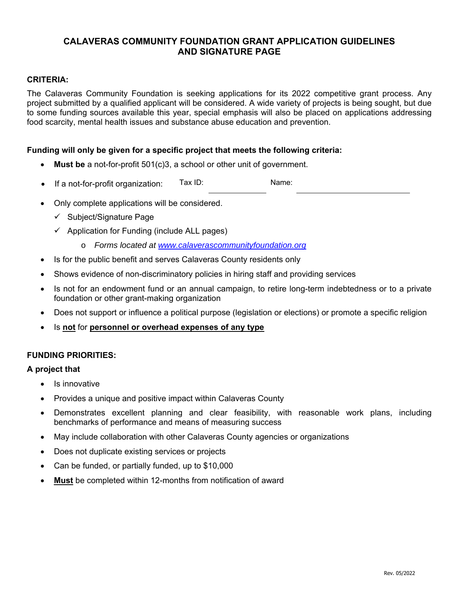# **CALAVERAS COMMUNITY FOUNDATION GRANT APPLICATION GUIDELINES AND SIGNATURE PAGE**

## **CRITERIA:**

The Calaveras Community Foundation is seeking applications for its 2022 competitive grant process. Any project submitted by a qualified applicant will be considered. A wide variety of projects is being sought, but due to some funding sources available this year, special emphasis will also be placed on applications addressing food scarcity, mental health issues and substance abuse education and prevention.

### **Funding will only be given for a specific project that meets the following criteria:**

- **Must be** a not-for-profit 501(c)3, a school or other unit of government.
- If a not-for-profit organization: Tax ID: Name:
- Only complete applications will be considered.
	- $\checkmark$  Subject/Signature Page
	- $\checkmark$  Application for Funding (include ALL pages)
		- o *Forms located at www.calaverascommunityfoundation.org*
- Is for the public benefit and serves Calaveras County residents only
- Shows evidence of non-discriminatory policies in hiring staff and providing services
- Is not for an endowment fund or an annual campaign, to retire long-term indebtedness or to a private foundation or other grant-making organization
- Does not support or influence a political purpose (legislation or elections) or promote a specific religion
- Is **not** for **personnel or overhead expenses of any type**

## **FUNDING PRIORITIES:**

#### **A project that**

- Is innovative
- Provides a unique and positive impact within Calaveras County
- Demonstrates excellent planning and clear feasibility, with reasonable work plans, including benchmarks of performance and means of measuring success
- May include collaboration with other Calaveras County agencies or organizations
- Does not duplicate existing services or projects
- Can be funded, or partially funded, up to \$10,000
- **Must** be completed within 12-months from notification of award